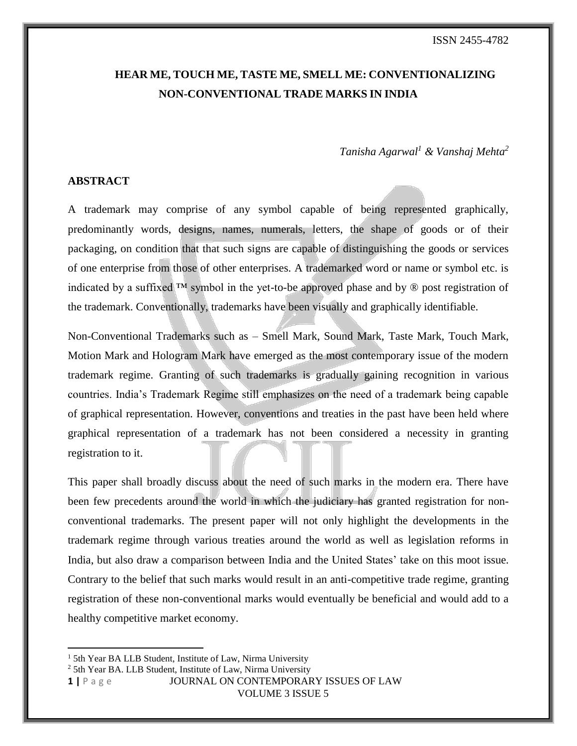# **HEAR ME, TOUCH ME, TASTE ME, SMELL ME: CONVENTIONALIZING NON-CONVENTIONAL TRADE MARKS IN INDIA**

# *Tanisha Agarwal<sup>1</sup> & Vanshaj Mehta<sup>2</sup>*

### **ABSTRACT**

A trademark may comprise of any symbol capable of being represented graphically, predominantly words, designs, names, numerals, letters, the shape of goods or of their packaging, on condition that that such signs are capable of distinguishing the goods or services of one enterprise from those of other enterprises. A trademarked word or name or symbol etc. is indicated by a suffixed <sup>™</sup> symbol in the yet-to-be approved phase and by  $\circledR$  post registration of the trademark. Conventionally, trademarks have been visually and graphically identifiable.

Non-Conventional Trademarks such as – Smell Mark, Sound Mark, Taste Mark, Touch Mark, Motion Mark and Hologram Mark have emerged as the most contemporary issue of the modern trademark regime. Granting of such trademarks is gradually gaining recognition in various countries. India's Trademark Regime still emphasizes on the need of a trademark being capable of graphical representation. However, conventions and treaties in the past have been held where graphical representation of a trademark has not been considered a necessity in granting registration to it.

This paper shall broadly discuss about the need of such marks in the modern era. There have been few precedents around the world in which the judiciary has granted registration for nonconventional trademarks. The present paper will not only highlight the developments in the trademark regime through various treaties around the world as well as legislation reforms in India, but also draw a comparison between India and the United States' take on this moot issue. Contrary to the belief that such marks would result in an anti-competitive trade regime, granting registration of these non-conventional marks would eventually be beneficial and would add to a healthy competitive market economy.

 $\overline{\phantom{a}}$ 

**1 |** P a g e JOURNAL ON CONTEMPORARY ISSUES OF LAW

<sup>&</sup>lt;sup>1</sup> 5th Year BA LLB Student, Institute of Law, Nirma University

<sup>&</sup>lt;sup>2</sup> 5th Year BA. LLB Student, Institute of Law, Nirma University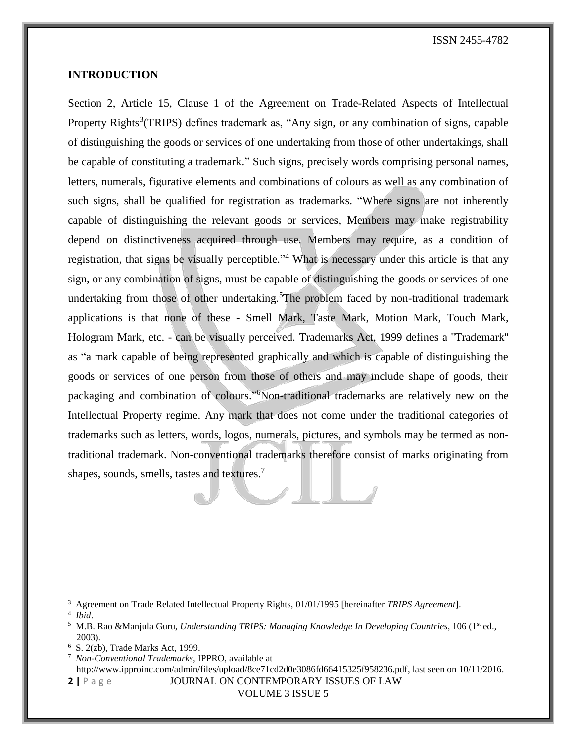### **INTRODUCTION**

Section 2, Article 15, Clause 1 of the Agreement on Trade-Related Aspects of Intellectual Property Rights<sup>3</sup>(TRIPS) defines trademark as, "Any sign, or any combination of signs, capable of distinguishing the goods or services of one undertaking from those of other undertakings, shall be capable of constituting a trademark." Such signs, precisely words comprising personal names, letters, numerals, figurative elements and combinations of colours as well as any combination of such signs, shall be qualified for registration as trademarks. "Where signs are not inherently capable of distinguishing the relevant goods or services, Members may make registrability depend on distinctiveness acquired through use. Members may require, as a condition of registration, that signs be visually perceptible."<sup>4</sup> What is necessary under this article is that any sign, or any combination of signs, must be capable of distinguishing the goods or services of one undertaking from those of other undertaking.<sup>5</sup>The problem faced by non-traditional trademark applications is that none of these - Smell Mark, Taste Mark, Motion Mark, Touch Mark, Hologram Mark, etc. - can be visually perceived. Trademarks Act, 1999 defines a ''Trademark'' as "a mark capable of being represented graphically and which is capable of distinguishing the goods or services of one person from those of others and may include shape of goods, their packaging and combination of colours."<sup>6</sup>Non-traditional trademarks are relatively new on the Intellectual Property regime. Any mark that does not come under the traditional categories of trademarks such as letters, words, logos, numerals, pictures, and symbols may be termed as nontraditional trademark. Non-conventional trademarks therefore consist of marks originating from shapes, sounds, smells, tastes and textures.<sup>7</sup>

l

<sup>3</sup> Agreement on Trade Related Intellectual Property Rights, 01/01/1995 [hereinafter *TRIPS Agreement*].

<sup>4</sup> *Ibid*.

<sup>&</sup>lt;sup>5</sup> M.B. Rao &Manjula Guru, *Understanding TRIPS: Managing Knowledge In Developing Countries*, 106 (1<sup>st</sup> ed., 2003).

<sup>6</sup> S. 2(zb), Trade Marks Act, 1999.

**<sup>2</sup> |** P a g e JOURNAL ON CONTEMPORARY ISSUES OF LAW 7  *Non-Conventional Trademarks,* IPPRO, available at http://www.ipproinc.com/admin/files/upload/8ce71cd2d0e3086fd66415325f958236.pdf, last seen on 10/11/2016.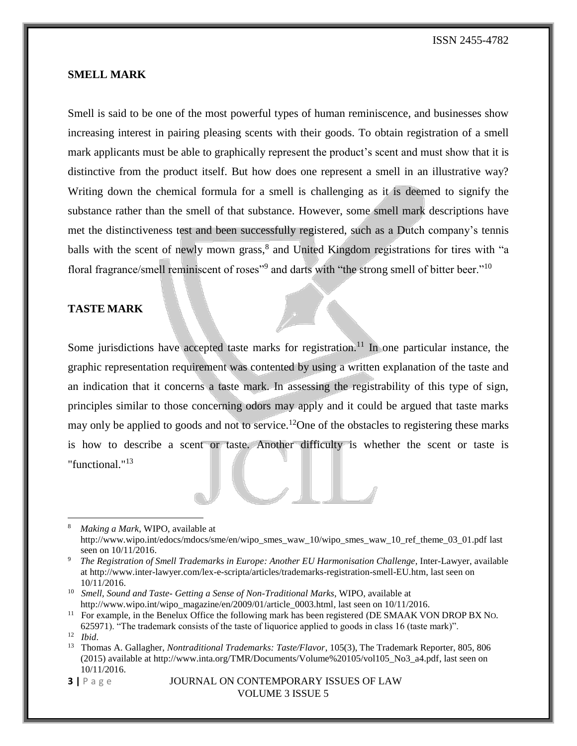### **SMELL MARK**

Smell is said to be one of the most powerful types of human reminiscence, and businesses show increasing interest in pairing pleasing scents with their goods. To obtain registration of a smell mark applicants must be able to graphically represent the product's scent and must show that it is distinctive from the product itself. But how does one represent a smell in an illustrative way? Writing down the chemical formula for a smell is challenging as it is deemed to signify the substance rather than the smell of that substance. However, some smell mark descriptions have met the distinctiveness test and been successfully registered, such as a Dutch company's tennis balls with the scent of newly mown grass,<sup>8</sup> and United Kingdom registrations for tires with "a floral fragrance/smell reminiscent of roses"<sup>9</sup> and darts with "the strong smell of bitter beer."<sup>10</sup>

### **TASTE MARK**

Some jurisdictions have accepted taste marks for registration.<sup>11</sup> In one particular instance, the graphic representation requirement was contented by using a written explanation of the taste and an indication that it concerns a taste mark. In assessing the registrability of this type of sign, principles similar to those concerning odors may apply and it could be argued that taste marks may only be applied to goods and not to service.<sup>12</sup>One of the obstacles to registering these marks is how to describe a scent or taste. Another difficulty is whether the scent or taste is "functional."<sup>13</sup>

 $\overline{\phantom{a}}$ 

<sup>8</sup>  *Making a Mark*, WIPO, available at http://www.wipo.int/edocs/mdocs/sme/en/wipo\_smes\_waw\_10/wipo\_smes\_waw\_10\_ref\_theme\_03\_01.pdf last seen on 10/11/2016.

<sup>9</sup>  *The Registration of Smell Trademarks in Europe: Another EU Harmonisation Challenge*, Inter-Lawyer, available at http://www.inter-lawyer.com/lex-e-scripta/articles/trademarks-registration-smell-EU.htm, last seen on 10/11/2016.

<sup>10</sup> *Smell, Sound and Taste- Getting a Sense of Non-Traditional Marks*, WIPO, available at http://www.wipo.int/wipo\_magazine/en/2009/01/article\_0003.html, last seen on 10/11/2016.

<sup>&</sup>lt;sup>11</sup> For example, in the Benelux Office the following mark has been registered (DE SMAAK VON DROP BX No.

<sup>625971). &</sup>quot;The trademark consists of the taste of liquorice applied to goods in class 16 (taste mark)". 12 *Ibid*.

<sup>&</sup>lt;sup>13</sup> Thomas A. Gallagher, *Nontraditional Trademarks: Taste/Flavor*, 105(3), The Trademark Reporter, 805, 806 (2015) available at http://www.inta.org/TMR/Documents/Volume%20105/vol105\_No3\_a4.pdf, last seen on 10/11/2016.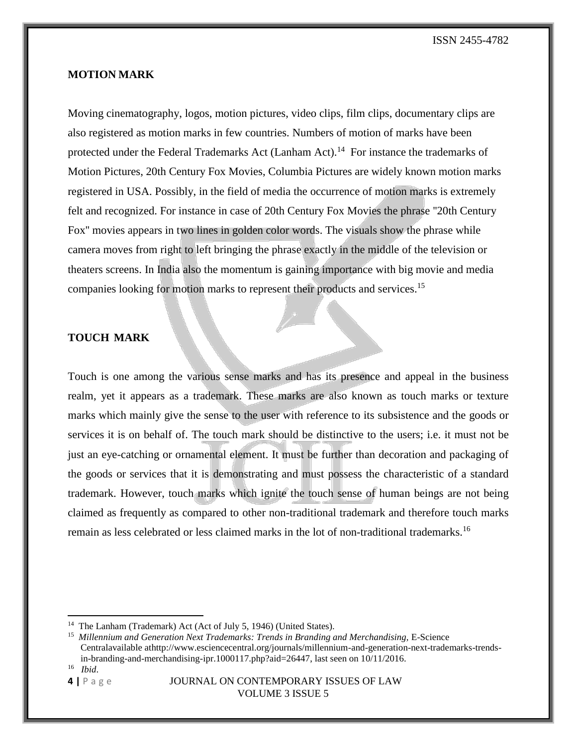### **MOTION MARK**

Moving cinematography, logos, motion pictures, video clips, film clips, documentary clips are also registered as motion marks in few countries. Numbers of motion of marks have been protected under the Federal Trademarks Act (Lanham Act).<sup>14</sup> For instance the trademarks of Motion Pictures, 20th Century Fox Movies, Columbia Pictures are widely known motion marks registered in USA. Possibly, in the field of media the occurrence of motion marks is extremely felt and recognized. For instance in case of 20th Century Fox Movies the phrase ''20th Century Fox'' movies appears in two lines in golden color words. The visuals show the phrase while camera moves from right to left bringing the phrase exactly in the middle of the television or theaters screens. In India also the momentum is gaining importance with big movie and media companies looking for motion marks to represent their products and services.<sup>15</sup>

### **TOUCH MARK**

Touch is one among the various sense marks and has its presence and appeal in the business realm, yet it appears as a trademark. These marks are also known as touch marks or texture marks which mainly give the sense to the user with reference to its subsistence and the goods or services it is on behalf of. The touch mark should be distinctive to the users; i.e. it must not be just an eye-catching or ornamental element. It must be further than decoration and packaging of the goods or services that it is demonstrating and must possess the characteristic of a standard trademark. However, touch marks which ignite the touch sense of human beings are not being claimed as frequently as compared to other non-traditional trademark and therefore touch marks remain as less celebrated or less claimed marks in the lot of non-traditional trademarks.<sup>16</sup>

 $\overline{\phantom{a}}$ 

<sup>&</sup>lt;sup>14</sup> The Lanham (Trademark) Act (Act of July 5, 1946) (United States).

<sup>15</sup>  *Millennium and Generation Next Trademarks: Trends in Branding and Merchandising,* E-Science Centralavailable athttp://www.esciencecentral.org/journals/millennium-and-generation-next-trademarks-trendsin-branding-and-merchandising-ipr.1000117.php?aid=26447, last seen on 10/11/2016. <sup>16</sup> *Ibid*.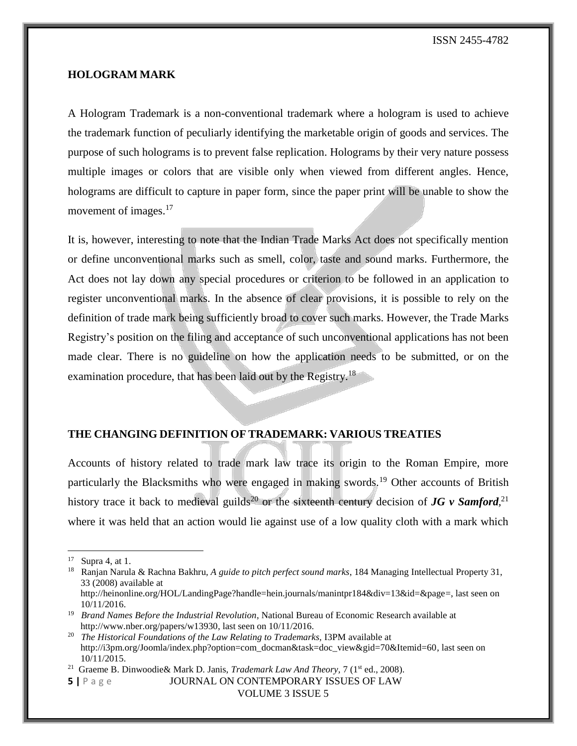### **HOLOGRAM MARK**

A Hologram Trademark is a non-conventional trademark where a hologram is used to achieve the trademark function of peculiarly identifying the marketable origin of goods and services. The purpose of such holograms is to prevent false replication. Holograms by their very nature possess multiple images or colors that are visible only when viewed from different angles. Hence, holograms are difficult to capture in paper form, since the paper print will be unable to show the movement of images.<sup>17</sup>

It is, however, interesting to note that the Indian Trade Marks Act does not specifically mention or define unconventional marks such as smell, color, taste and sound marks. Furthermore, the Act does not lay down any special procedures or criterion to be followed in an application to register unconventional marks. In the absence of clear provisions, it is possible to rely on the definition of trade mark being sufficiently broad to cover such marks. However, the Trade Marks Registry's position on the filing and acceptance of such unconventional applications has not been made clear. There is no guideline on how the application needs to be submitted, or on the examination procedure, that has been laid out by the Registry.<sup>18</sup>

#### **THE CHANGING DEFINITION OF TRADEMARK: VARIOUS TREATIES**

Accounts of history related to trade mark law trace its origin to the Roman Empire, more particularly the Blacksmiths who were engaged in making swords.<sup>19</sup> Other accounts of British history trace it back to medieval guilds<sup>20</sup> or the sixteenth century decision of *JG v Samford*<sup>21</sup> where it was held that an action would lie against use of a low quality cloth with a mark which

 $\overline{\phantom{a}}$ 

<sup>17</sup> Supra 4, at 1.

<sup>18</sup> Ranjan Narula & Rachna Bakhru*, A guide to pitch perfect sound marks*, 184 Managing Intellectual Property 31, 33 (2008) available at http://heinonline.org/HOL/LandingPage?handle=hein.journals/manintpr184&div=13&id=&page=, last seen on

<sup>10/11/2016.</sup>

<sup>&</sup>lt;sup>19</sup> Brand Names Before the Industrial Revolution, National Bureau of Economic Research available at http://www.nber.org/papers/w13930, last seen on 10/11/2016.

<sup>&</sup>lt;sup>20</sup> The Historical Foundations of the Law Relating to Trademarks, I3PM available at http://i3pm.org/Joomla/index.php?option=com\_docman&task=doc\_view&gid=70&Itemid=60, last seen on 10/11/2015.

<sup>&</sup>lt;sup>21</sup> [Graeme](https://books.google.co.in/books?id=-YTMt0PO-nIC&pg=PA7&lpg=PA7&dq=jg+v+samford&source=bl&ots=TH3I61XguX&sig=5HS_MIprhY1zk49v0iStmJynK5o&hl=en&sa=X&ved=0ahUKEwiWnNvt8NrKAhVGWRQKHQxoDNoQ6AEIIjAB#v=onepage&q=jg%20v%20samford&f=false) B. Dinwoodie & Mark D. Janis, *Trademark Law And Theory*, 7 (1<sup>st</sup> ed., 2008).

**<sup>5</sup> |** P a g e JOURNAL ON CONTEMPORARY ISSUES OF LAW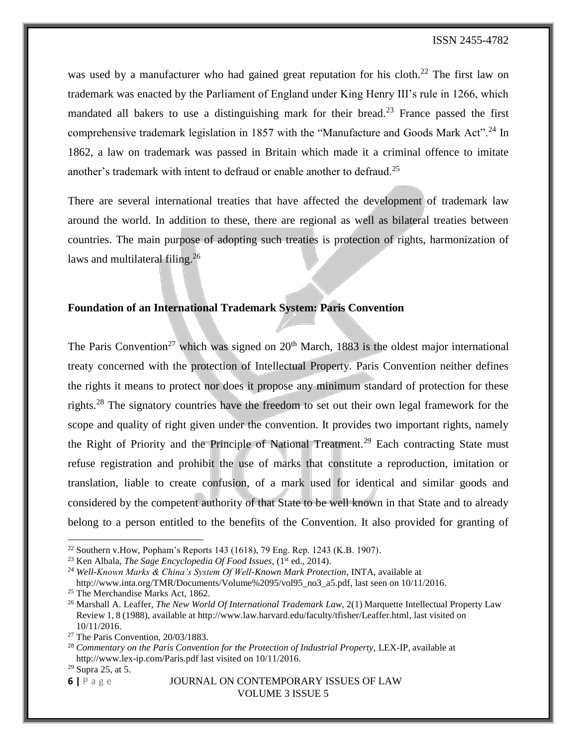was used by a manufacturer who had gained great reputation for his cloth.<sup>22</sup> The first law on trademark was enacted by the Parliament of England under King Henry III's rule in 1266, which mandated all bakers to use a distinguishing mark for their bread.<sup>23</sup> France passed the first comprehensive trademark legislation in 1857 with the "Manufacture and Goods Mark Act".<sup>24</sup> In 1862, a law on trademark was passed in Britain which made it a criminal offence to imitate another's trademark with intent to defraud or enable another to defraud.<sup>25</sup>

There are several international treaties that have affected the development of trademark law around the world. In addition to these, there are regional as well as bilateral treaties between countries. The main purpose of adopting such treaties is protection of rights, harmonization of laws and multilateral filing.<sup>26</sup>

# **Foundation of an International Trademark System: Paris Convention**

The Paris Convention<sup>27</sup> which was signed on  $20<sup>th</sup>$  March, 1883 is the oldest major international treaty concerned with the protection of Intellectual Property. Paris Convention neither defines the rights it means to protect nor does it propose any minimum standard of protection for these rights.<sup>28</sup> The signatory countries have the freedom to set out their own legal framework for the scope and quality of right given under the convention. It provides two important rights, namely the Right of Priority and the Principle of National Treatment.<sup>29</sup> Each contracting State must refuse registration and prohibit the use of marks that constitute a reproduction, imitation or translation, liable to create confusion, of a mark used for identical and similar goods and considered by the competent authority of that State to be well known in that State and to already belong to a person entitled to the benefits of the Convention. It also provided for granting of

 $\overline{\phantom{a}}$ 

<sup>&</sup>lt;sup>22</sup> Southern v. How, Popham's Reports 143 (1618), 79 Eng. Rep. 1243 (K.B. 1907).

<sup>&</sup>lt;sup>23</sup> Ken Albala, *The Sage Encyclopedia Of Food Issues*, (1<sup>st</sup> ed., 2014).

<sup>24</sup> *Well-Known Marks & China's System Of Well-Known Mark Protection*, INTA, available at http://www.inta.org/TMR/Documents/Volume%2095/vol95\_no3\_a5.pdf, last seen on 10/11/2016.

<sup>&</sup>lt;sup>25</sup> The Merchandise Marks Act, 1862.

<sup>26</sup> Marshall A. Leaffer, *The New World Of International Trademark Law*, 2(1) Marquette Intellectual Property Law Review 1, 8 (1988), available at http://www.law.harvard.edu/faculty/tfisher/Leaffer.html, last visited on 10/11/2016.

<sup>27</sup> The Paris Convention, 20/03/1883.

<sup>28</sup> *Commentary on the Paris Convention for the Protection of Industrial Property,* LEX-IP, available at http://www.lex-ip.com/Paris.pdf last visited on 10/11/2016.

 $29$  Supra 25, at 5.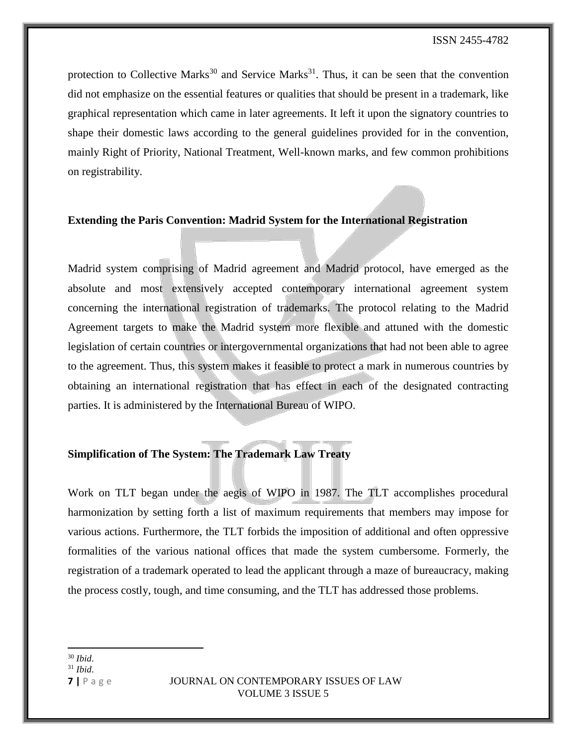protection to Collective Marks<sup>30</sup> and Service Marks<sup>31</sup>. Thus, it can be seen that the convention did not emphasize on the essential features or qualities that should be present in a trademark, like graphical representation which came in later agreements. It left it upon the signatory countries to shape their domestic laws according to the general guidelines provided for in the convention, mainly Right of Priority, National Treatment, Well-known marks, and few common prohibitions on registrability.

### **Extending the Paris Convention: Madrid System for the International Registration**

Madrid system comprising of Madrid agreement and Madrid protocol, have emerged as the absolute and most extensively accepted contemporary international agreement system concerning the international registration of trademarks. The protocol relating to the Madrid Agreement targets to make the Madrid system more flexible and attuned with the domestic legislation of certain countries or intergovernmental organizations that had not been able to agree to the agreement. Thus, this system makes it feasible to protect a mark in numerous countries by obtaining an international registration that has effect in each of the designated contracting parties. It is administered by the International Bureau of WIPO.

### **Simplification of The System: The Trademark Law Treaty**

Work on TLT began under the aegis of WIPO in 1987. The TLT accomplishes procedural harmonization by setting forth a list of maximum requirements that members may impose for various actions. Furthermore, the TLT forbids the imposition of additional and often oppressive formalities of the various national offices that made the system cumbersome. Formerly, the registration of a trademark operated to lead the applicant through a maze of bureaucracy, making the process costly, tough, and time consuming, and the TLT has addressed those problems.

 $\overline{\phantom{a}}$ <sup>30</sup> *Ibid*.

<sup>31</sup> *Ibid*.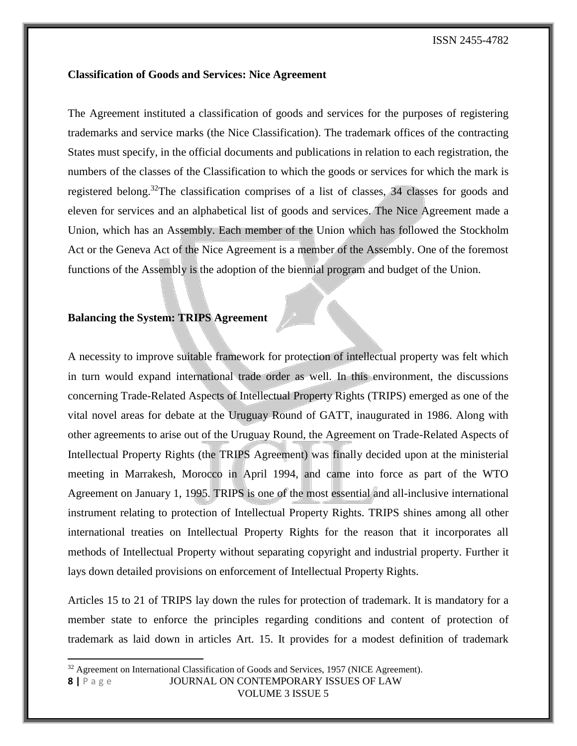### **Classification of Goods and Services: Nice Agreement**

The Agreement instituted a classification of goods and services for the purposes of registering trademarks and service marks (the Nice Classification). The trademark offices of the contracting States must specify, in the official documents and publications in relation to each registration, the numbers of the classes of the Classification to which the goods or services for which the mark is registered belong.<sup>32</sup>The classification comprises of a list of classes, 34 classes for goods and eleven for services and an alphabetical list of goods and services. The Nice Agreement made a Union, which has an Assembly. Each member of the Union which has followed the Stockholm Act or the Geneva Act of the Nice Agreement is a member of the Assembly. One of the foremost functions of the Assembly is the adoption of the biennial program and budget of the Union.

### **Balancing the System: TRIPS Agreement**

A necessity to improve suitable framework for protection of intellectual property was felt which in turn would expand international trade order as well. In this environment, the discussions concerning Trade-Related Aspects of Intellectual Property Rights (TRIPS) emerged as one of the vital novel areas for debate at the Uruguay Round of GATT, inaugurated in 1986. Along with other agreements to arise out of the Uruguay Round, the Agreement on Trade-Related Aspects of Intellectual Property Rights (the TRIPS Agreement) was finally decided upon at the ministerial meeting in Marrakesh, Morocco in April 1994, and came into force as part of the WTO Agreement on January 1, 1995. TRIPS is one of the most essential and all-inclusive international instrument relating to protection of Intellectual Property Rights. TRIPS shines among all other international treaties on Intellectual Property Rights for the reason that it incorporates all methods of Intellectual Property without separating copyright and industrial property. Further it lays down detailed provisions on enforcement of Intellectual Property Rights.

Articles 15 to 21 of TRIPS lay down the rules for protection of trademark. It is mandatory for a member state to enforce the principles regarding conditions and content of protection of trademark as laid down in articles Art. 15. It provides for a modest definition of trademark

l

 $32$  Agreement on International Classification of Goods and Services, 1957 (NICE Agreement).

**<sup>8</sup> |** P a g e JOURNAL ON CONTEMPORARY ISSUES OF LAW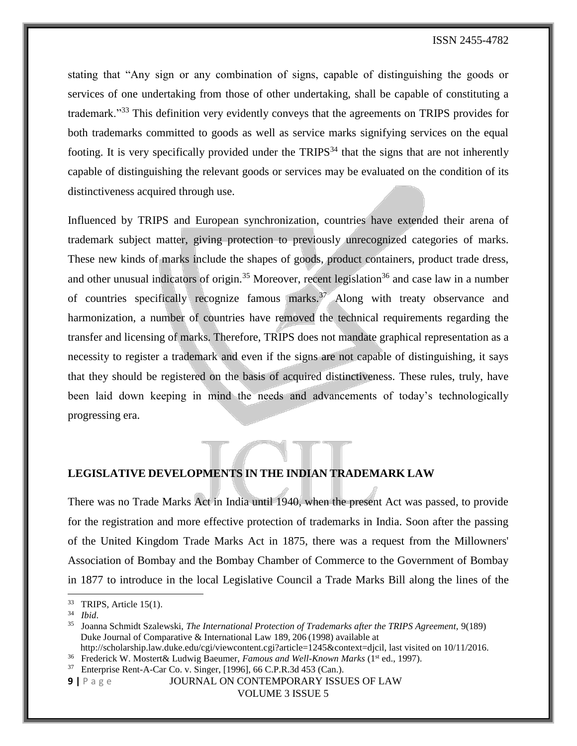stating that "Any sign or any combination of signs, capable of distinguishing the goods or services of one undertaking from those of other undertaking, shall be capable of constituting a trademark."<sup>33</sup> This definition very evidently conveys that the agreements on TRIPS provides for both trademarks committed to goods as well as service marks signifying services on the equal footing. It is very specifically provided under the  $TRIPS<sup>34</sup>$  that the signs that are not inherently capable of distinguishing the relevant goods or services may be evaluated on the condition of its distinctiveness acquired through use.

Influenced by TRIPS and European synchronization, countries have extended their arena of trademark subject matter, giving protection to previously unrecognized categories of marks. These new kinds of marks include the shapes of goods, product containers, product trade dress, and other unusual indicators of origin.<sup>35</sup> Moreover, recent legislation<sup>36</sup> and case law in a number of countries specifically recognize famous marks.<sup>37</sup> Along with treaty observance and harmonization, a number of countries have removed the technical requirements regarding the transfer and licensing of marks. Therefore, TRIPS does not mandate graphical representation as a necessity to register a trademark and even if the signs are not capable of distinguishing, it says that they should be registered on the basis of acquired distinctiveness. These rules, truly, have been laid down keeping in mind the needs and advancements of today's technologically progressing era.

### **LEGISLATIVE DEVELOPMENTS IN THE INDIAN TRADEMARK LAW**

There was no Trade Marks Act in India until 1940, when the present Act was passed, to provide for the registration and more effective protection of trademarks in India. Soon after the passing of the United Kingdom Trade Marks Act in 1875, there was a request from the Millowners' Association of Bombay and the Bombay Chamber of Commerce to the Government of Bombay in 1877 to introduce in the local Legislative Council a Trade Marks Bill along the lines of the

l

**9 |** P a g e JOURNAL ON CONTEMPORARY ISSUES OF LAW

<sup>&</sup>lt;sup>33</sup> TRIPS, Article 15(1).

<sup>34</sup> *Ibid*.

<sup>35</sup> Joanna Schmidt Szalewski, *The International Protection of Trademarks after the TRIPS Agreement,* 9(189) Duke Journal of Comparative & International Law 189, 206 (1998) available at

http://scholarship.law.duke.edu/cgi/viewcontent.cgi?article=1245&context=djcil, last visited on 10/11/2016.

<sup>&</sup>lt;sup>36</sup> Frederick W. Mostert& Ludwig Baeumer, *Famous and Well-Known Marks* (1<sup>st</sup> ed., 1997).

<sup>&</sup>lt;sup>37</sup> Enterprise Rent-A-Car Co. v. Singer, [1996], 66 C.P.R.3d 453 (Can.).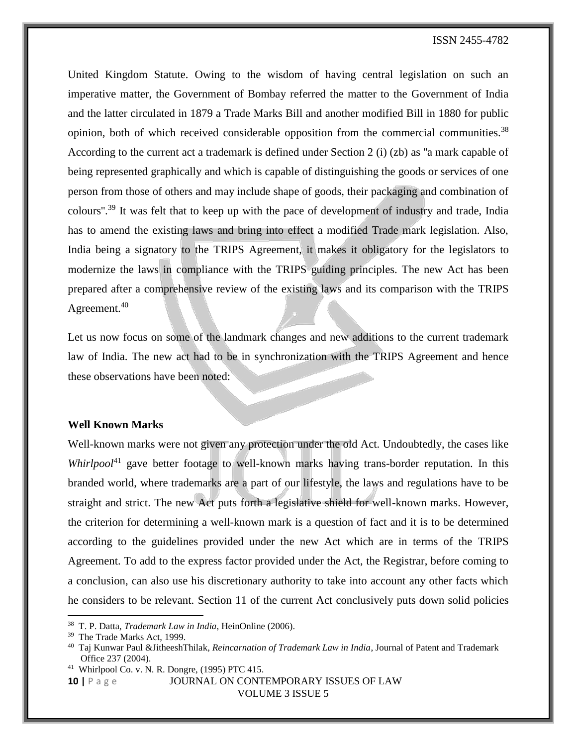United Kingdom Statute. Owing to the wisdom of having central legislation on such an imperative matter, the Government of Bombay referred the matter to the Government of India and the latter circulated in 1879 a Trade Marks Bill and another modified Bill in 1880 for public opinion, both of which received considerable opposition from the commercial communities.<sup>38</sup> According to the current act a trademark is defined under Section 2 (i) (zb) as ''a mark capable of being represented graphically and which is capable of distinguishing the goods or services of one person from those of others and may include shape of goods, their packaging and combination of colours''.<sup>39</sup> It was felt that to keep up with the pace of development of industry and trade, India has to amend the existing laws and bring into effect a modified Trade mark legislation. Also, India being a signatory to the TRIPS Agreement, it makes it obligatory for the legislators to modernize the laws in compliance with the TRIPS guiding principles. The new Act has been prepared after a comprehensive review of the existing laws and its comparison with the TRIPS Agreement.<sup>40</sup>

Let us now focus on some of the landmark changes and new additions to the current trademark law of India. The new act had to be in synchronization with the TRIPS Agreement and hence these observations have been noted:

### **Well Known Marks**

Well-known marks were not given any protection under the old Act. Undoubtedly, the cases like *Whirlpool*<sup>41</sup> gave better footage to well-known marks having trans-border reputation. In this branded world, where trademarks are a part of our lifestyle, the laws and regulations have to be straight and strict. The new Act puts forth a legislative shield for well-known marks. However, the criterion for determining a well-known mark is a question of fact and it is to be determined according to the guidelines provided under the new Act which are in terms of the TRIPS Agreement. To add to the express factor provided under the Act, the Registrar, before coming to a conclusion, can also use his discretionary authority to take into account any other facts which he considers to be relevant. Section 11 of the current Act conclusively puts down solid policies

 $\overline{\phantom{a}}$ 

<sup>38</sup> T. P. Datta, *Trademark Law in India*, HeinOnline (2006).

<sup>39</sup> The Trade Marks Act, 1999.

<sup>40</sup> Taj Kunwar Paul &JitheeshThilak*, Reincarnation of Trademark Law in India*, Journal of Patent and Trademark Office 237 (2004).

<sup>41</sup> Whirlpool Co. v. N. R. Dongre, (1995) PTC 415.

**<sup>10</sup> |** P a g e JOURNAL ON CONTEMPORARY ISSUES OF LAW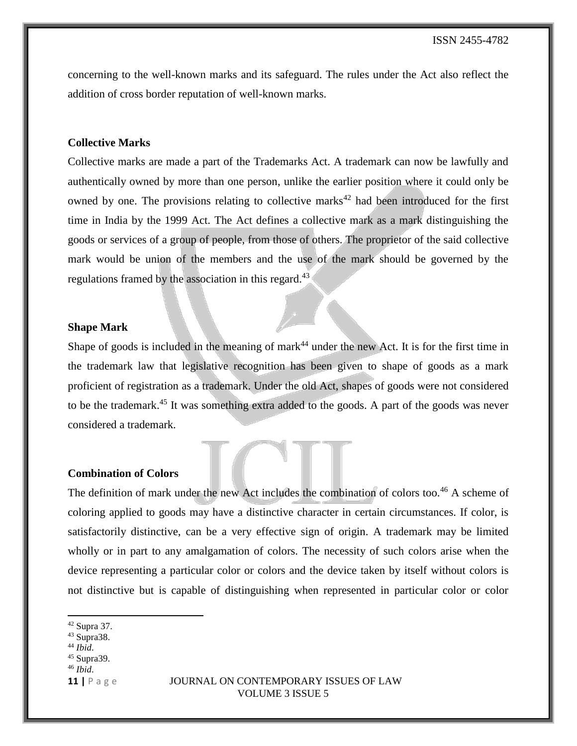concerning to the well-known marks and its safeguard. The rules under the Act also reflect the addition of cross border reputation of well-known marks.

### **Collective Marks**

Collective marks are made a part of the Trademarks Act. A trademark can now be lawfully and authentically owned by more than one person, unlike the earlier position where it could only be owned by one. The provisions relating to collective marks<sup>42</sup> had been introduced for the first time in India by the 1999 Act. The Act defines a collective mark as a mark distinguishing the goods or services of a group of people, from those of others. The proprietor of the said collective mark would be union of the members and the use of the mark should be governed by the regulations framed by the association in this regard.<sup>43</sup>

#### **Shape Mark**

Shape of goods is included in the meaning of mark<sup>44</sup> under the new Act. It is for the first time in the trademark law that legislative recognition has been given to shape of goods as a mark proficient of registration as a trademark. Under the old Act, shapes of goods were not considered to be the trademark.<sup>45</sup> It was something extra added to the goods. A part of the goods was never considered a trademark.

### **Combination of Colors**

The definition of mark under the new Act includes the combination of colors too.<sup>46</sup> A scheme of coloring applied to goods may have a distinctive character in certain circumstances. If color, is satisfactorily distinctive, can be a very effective sign of origin. A trademark may be limited wholly or in part to any amalgamation of colors. The necessity of such colors arise when the device representing a particular color or colors and the device taken by itself without colors is not distinctive but is capable of distinguishing when represented in particular color or color

 $\overline{\phantom{a}}$ 

<sup>46</sup> *Ibid*.

 $42$  Supra 37.

<sup>43</sup> Supra38.

<sup>44</sup> *Ibid*.

<sup>45</sup> Supra39.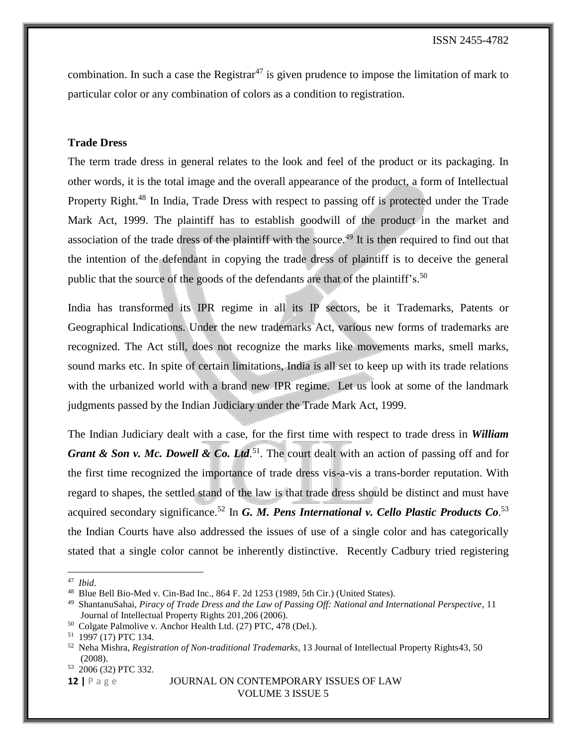combination. In such a case the Registrar<sup>47</sup> is given prudence to impose the limitation of mark to particular color or any combination of colors as a condition to registration.

### **Trade Dress**

The term trade dress in general relates to the look and feel of the product or its packaging. In other words, it is the total image and the overall appearance of the product, a form of Intellectual Property Right.<sup>48</sup> In India, Trade Dress with respect to passing off is protected under the Trade Mark Act, 1999. The plaintiff has to establish goodwill of the product in the market and association of the trade dress of the plaintiff with the source.<sup>49</sup> It is then required to find out that the intention of the defendant in copying the trade dress of plaintiff is to deceive the general public that the source of the goods of the defendants are that of the plaintiff's.<sup>50</sup>

India has transformed its IPR regime in all its IP sectors, be it Trademarks, Patents or Geographical Indications. Under the new trademarks Act, various new forms of trademarks are recognized. The Act still, does not recognize the marks like movements marks, smell marks, sound marks etc. In spite of certain limitations, India is all set to keep up with its trade relations with the urbanized world with a brand new IPR regime. Let us look at some of the landmark judgments passed by the Indian Judiciary under the Trade Mark Act, 1999.

The Indian Judiciary dealt with a case, for the first time with respect to trade dress in *William Grant & Son v. Mc. Dowell & Co. Ltd.*<sup>51</sup>. The court dealt with an action of passing off and for the first time recognized the importance of trade dress vis-a-vis a trans-border reputation. With regard to shapes, the settled stand of the law is that trade dress should be distinct and must have acquired secondary significance.<sup>52</sup> In *G. M. Pens International v. Cello Plastic Products Co.*<sup>53</sup> the Indian Courts have also addressed the issues of use of a single color and has categorically stated that a single color cannot be inherently distinctive. Recently Cadbury tried registering

 $\overline{\phantom{a}}$ 

<sup>47</sup> *Ibid*.

<sup>48</sup> Blue Bell Bio-Med v. Cin-Bad Inc., 864 F. 2d 1253 (1989, 5th Cir.) (United States).

<sup>49</sup> ShantanuSahai, *Piracy of Trade Dress and the Law of Passing Off: National and International Perspective*, 11 Journal of Intellectual Property Rights 201,206 (2006).

<sup>50</sup> Colgate Palmolive v. Anchor Health Ltd. (27) PTC, 478 (Del.).

<sup>51</sup> 1997 (17) PTC 134.

<sup>52</sup> Neha Mishra, *Registration of Non-traditional Trademarks*, 13 Journal of Intellectual Property Rights43, 50 (2008).

<sup>53</sup> 2006 (32) PTC 332.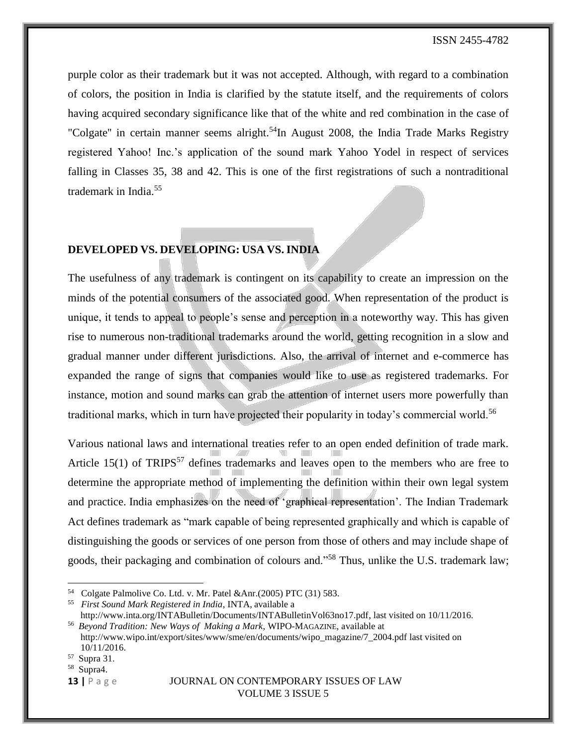purple color as their trademark but it was not accepted. Although, with regard to a combination of colors, the position in India is clarified by the statute itself, and the requirements of colors having acquired secondary significance like that of the white and red combination in the case of "Colgate" in certain manner seems alright.<sup>54</sup>In August 2008, the India Trade Marks Registry registered Yahoo! Inc.'s application of the sound mark Yahoo Yodel in respect of services falling in Classes 35, 38 and 42. This is one of the first registrations of such a nontraditional trademark in India.<sup>55</sup>

### **DEVELOPED VS. DEVELOPING: USA VS. INDIA**

The usefulness of any trademark is contingent on its capability to create an impression on the minds of the potential consumers of the associated good. When representation of the product is unique, it tends to appeal to people's sense and perception in a noteworthy way. This has given rise to numerous non-traditional trademarks around the world, getting recognition in a slow and gradual manner under different jurisdictions. Also, the arrival of internet and e-commerce has expanded the range of signs that companies would like to use as registered trademarks. For instance, motion and sound marks can grab the attention of internet users more powerfully than traditional marks, which in turn have projected their popularity in today's commercial world.<sup>56</sup>

Various national laws and international treaties refer to an open ended definition of trade mark. Article 15(1) of TRIPS<sup>57</sup> defines trademarks and leaves open to the members who are free to determine the appropriate method of implementing the definition within their own legal system and practice. India emphasizes on the need of 'graphical representation'. The Indian Trademark Act defines trademark as "mark capable of being represented graphically and which is capable of distinguishing the goods or services of one person from those of others and may include shape of goods, their packaging and combination of colours and."<sup>58</sup> Thus, unlike the U.S. trademark law;

 $\overline{\phantom{a}}$ 

<sup>58</sup> Supra4.

<sup>54</sup> Colgate Palmolive Co. Ltd. v. Mr. Patel &Anr.(2005) PTC (31) 583.

<sup>55</sup> *First Sound Mark Registered in India*, INTA, available a

http://www.inta.org/INTABulletin/Documents/INTABulletinVol63no17.pdf, last visited on 10/11/2016. <sup>56</sup> *Beyond Tradition: New Ways of Making a Mark*, WIPO-MAGAZINE, available at http://www.wipo.int/export/sites/www/sme/en/documents/wipo\_magazine/7\_2004.pdf last visited on

<sup>10/11/2016.</sup>

<sup>57</sup> Supra 31.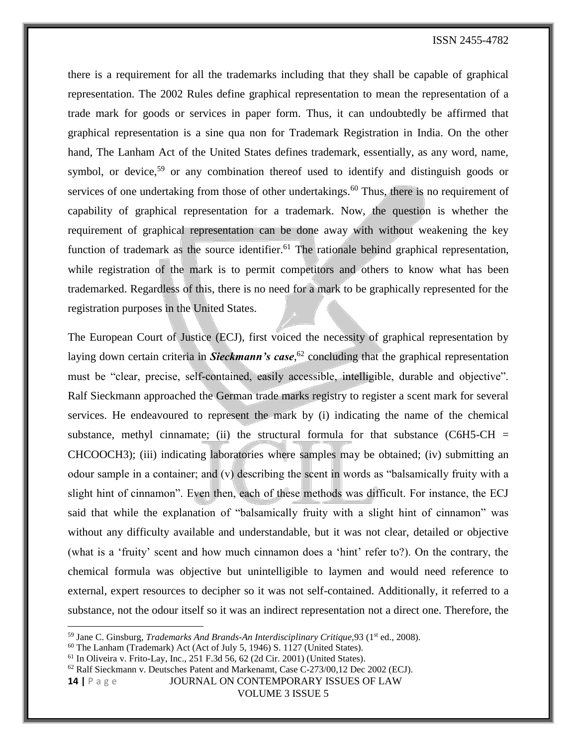there is a requirement for all the trademarks including that they shall be capable of graphical representation. The 2002 Rules define graphical representation to mean the representation of a trade mark for goods or services in paper form. Thus, it can undoubtedly be affirmed that graphical representation is a sine qua non for Trademark Registration in India. On the other hand, The Lanham Act of the United States defines trademark, essentially, as any word, name, symbol, or device,<sup>59</sup> or any combination thereof used to identify and distinguish goods or services of one undertaking from those of other undertakings.<sup>60</sup> Thus, there is no requirement of capability of graphical representation for a trademark. Now, the question is whether the requirement of graphical representation can be done away with without weakening the key function of trademark as the source identifier.<sup>61</sup> The rationale behind graphical representation, while registration of the mark is to permit competitors and others to know what has been trademarked. Regardless of this, there is no need for a mark to be graphically represented for the registration purposes in the United States.

The European Court of Justice (ECJ), first voiced the necessity of graphical representation by laying down certain criteria in *Sieckmann's case,* <sup>62</sup> concluding that the graphical representation must be "clear, precise, self-contained, easily accessible, intelligible, durable and objective". Ralf Sieckmann approached the German trade marks registry to register a scent mark for several services. He endeavoured to represent the mark by (i) indicating the name of the chemical substance, methyl cinnamate; (ii) the structural formula for that substance (C6H5-CH  $=$ CHCOOCH3); (iii) indicating laboratories where samples may be obtained; (iv) submitting an odour sample in a container; and (v) describing the scent in words as "balsamically fruity with a slight hint of cinnamon". Even then, each of these methods was difficult. For instance, the ECJ said that while the explanation of "balsamically fruity with a slight hint of cinnamon" was without any difficulty available and understandable, but it was not clear, detailed or objective (what is a 'fruity' scent and how much cinnamon does a 'hint' refer to?). On the contrary, the chemical formula was objective but unintelligible to laymen and would need reference to external, expert resources to decipher so it was not self-contained. Additionally, it referred to a substance, not the odour itself so it was an indirect representation not a direct one. Therefore, the

 $\overline{\phantom{a}}$ 

<sup>&</sup>lt;sup>59</sup> Jane C. Ginsburg, *Trademarks And Brands-An Interdisciplinary Critique*, 93 (1<sup>st</sup> ed., 2008).

<sup>60</sup> The Lanham (Trademark) Act (Act of July 5, 1946) S. 1127 (United States).

 $61$  In Oliveira v. Frito-Lay, Inc., 251 F.3d 56, 62 (2d Cir. 2001) (United States).

<sup>62</sup> Ralf Sieckmann v. Deutsches Patent and Markenamt, Case C-273/00,12 Dec 2002 (ECJ).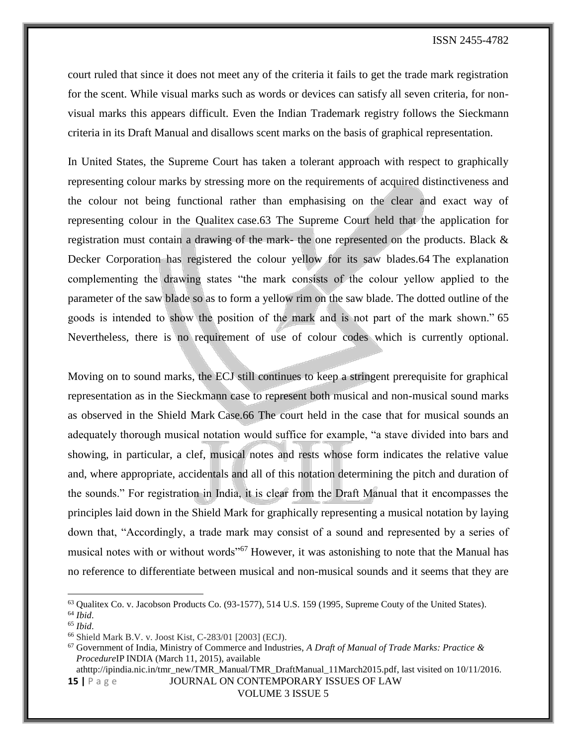court ruled that since it does not meet any of the criteria it fails to get the trade mark registration for the scent. While visual marks such as words or devices can satisfy all seven criteria, for nonvisual marks this appears difficult. Even the Indian Trademark registry follows the Sieckmann criteria in its Draft Manual and disallows scent marks on the basis of graphical representation.

In United States, the Supreme Court has taken a tolerant approach with respect to graphically representing colour marks by stressing more on the requirements of acquired distinctiveness and the colour not being functional rather than emphasising on the clear and exact way of representing colour in the Qualitex case.63 The Supreme Court held that the application for registration must contain a drawing of the mark- the one represented on the products. Black & Decker Corporation has registered the colour yellow for its saw blades.64 The explanation complementing the drawing states "the mark consists of the colour yellow applied to the parameter of the saw blade so as to form a yellow rim on the saw blade. The dotted outline of the goods is intended to show the position of the mark and is not part of the mark shown." 65 Nevertheless, there is no requirement of use of colour codes which is currently optional.

Moving on to sound marks, the ECJ still continues to keep a stringent prerequisite for graphical representation as in the Sieckmann case to represent both musical and non-musical sound marks as observed in the Shield Mark Case.66 The court held in the case that for musical sounds an adequately thorough musical notation would suffice for example, "a stave divided into bars and showing, in particular, a clef, musical notes and rests whose form indicates the relative value and, where appropriate, accidentals and all of this notation determining the pitch and duration of the sounds." For registration in India, it is clear from the Draft Manual that it encompasses the principles laid down in the Shield Mark for graphically representing a musical notation by laying down that, "Accordingly, a trade mark may consist of a sound and represented by a series of musical notes with or without words<sup>"67</sup> However, it was astonishing to note that the Manual has no reference to differentiate between musical and non-musical sounds and it seems that they are

l

**15 |** P a g e JOURNAL ON CONTEMPORARY ISSUES OF LAW athttp://ipindia.nic.in/tmr\_new/TMR\_Manual/TMR\_DraftManual\_11March2015.pdf, last visited on 10/11/2016.

<sup>63</sup> Qualitex Co. v. Jacobson Products Co. (93-1577), 514 U.S. 159 (1995, Supreme Couty of the United States). <sup>64</sup> *Ibid*.

<sup>65</sup> *Ibid*.

<sup>66</sup> Shield Mark B.V. v. Joost Kist, C-283/01 [2003] (ECJ).

<sup>67</sup> Government of India, Ministry of Commerce and Industries, *A Draft of Manual of Trade Marks: Practice & Procedure*IP INDIA (March 11, 2015), available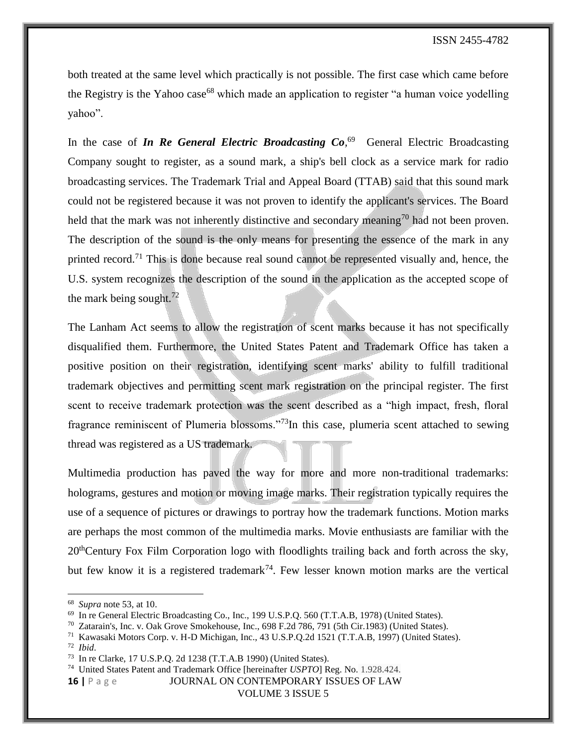both treated at the same level which practically is not possible. The first case which came before the Registry is the Yahoo case<sup>68</sup> which made an application to register "a human voice yodelling yahoo".

In the case of *In Re General Electric Broadcasting Co*<sup>69</sup> General Electric Broadcasting Company sought to register, as a sound mark, a ship's bell clock as a service mark for radio broadcasting services. The Trademark Trial and Appeal Board (TTAB) said that this sound mark could not be registered because it was not proven to identify the applicant's services. The Board held that the mark was not inherently distinctive and secondary meaning<sup>70</sup> had not been proven. The description of the sound is the only means for presenting the essence of the mark in any printed record.<sup>71</sup> This is done because real sound cannot be represented visually and, hence, the U.S. system recognizes the description of the sound in the application as the accepted scope of the mark being sought. $72$ 

The Lanham Act seems to allow the registration of scent marks because it has not specifically disqualified them. Furthermore, the United States Patent and Trademark Office has taken a positive position on their registration, identifying scent marks' ability to fulfill traditional trademark objectives and permitting scent mark registration on the principal register. The first scent to receive trademark protection was the scent described as a "high impact, fresh, floral fragrance reminiscent of Plumeria blossoms."<sup>73</sup>In this case, plumeria scent attached to sewing thread was registered as a US trademark.

Multimedia production has paved the way for more and more non-traditional trademarks: holograms, gestures and motion or moving image marks. Their registration typically requires the use of a sequence of pictures or drawings to portray how the trademark functions. Motion marks are perhaps the most common of the multimedia marks. Movie enthusiasts are familiar with the 20<sup>th</sup>Century Fox Film Corporation logo with floodlights trailing back and forth across the sky, but few know it is a registered trademark<sup>74</sup>. Few lesser known motion marks are the vertical

<sup>72</sup> *Ibid*.

l

<sup>74</sup> United States Patent and Trademark Office [hereinafter *USPTO*] Reg. No. 1.928.424.

**16 |** P a g e JOURNAL ON CONTEMPORARY ISSUES OF LAW

<sup>68</sup> *Supra* note 53, at 10.

<sup>69</sup> In re General Electric Broadcasting Co., Inc., 199 U.S.P.Q. 560 (T.T.A.B, 1978) (United States).

 $^{70}$  Zatarain's, Inc. v. Oak Grove Smokehouse, Inc., 698 F.2d 786, 791 (5th Cir.1983) (United States).

<sup>71</sup> Kawasaki Motors Corp. v. H-D Michigan, Inc., 43 U.S.P.Q.2d 1521 (T.T.A.B, 1997) (United States).

<sup>73</sup> In re Clarke, 17 U.S.P.Q. 2d 1238 (T.T.A.B 1990) (United States).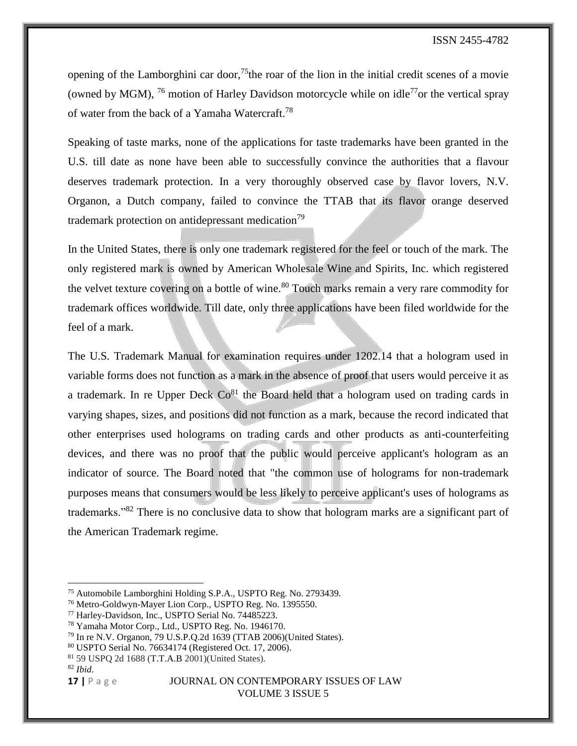opening of the Lamborghini car door,<sup>75</sup>the roar of the lion in the initial credit scenes of a movie (owned by MGM), <sup>76</sup> motion of Harley Davidson motorcycle while on idle<sup>77</sup>or the vertical spray of water from the back of a Yamaha Watercraft.<sup>78</sup>

Speaking of taste marks, none of the applications for taste trademarks have been granted in the U.S. till date as none have been able to successfully convince the authorities that a flavour deserves trademark protection. In a very thoroughly observed case by flavor lovers, N.V. Organon, a Dutch company, failed to convince the TTAB that its flavor orange deserved trademark protection on antidepressant medication<sup>79</sup>

In the United States, there is only one trademark registered for the feel or touch of the mark. The only registered mark is owned by American Wholesale Wine and Spirits, Inc. which registered the velvet texture covering on a bottle of wine.<sup>80</sup> Touch marks remain a very rare commodity for trademark offices worldwide. Till date, only three applications have been filed worldwide for the feel of a mark.

The U.S. Trademark Manual for examination requires under 1202.14 that a hologram used in variable forms does not function as a mark in the absence of proof that users would perceive it as a trademark. In re Upper Deck  $Co^{81}$  the Board held that a hologram used on trading cards in varying shapes, sizes, and positions did not function as a mark, because the record indicated that other enterprises used holograms on trading cards and other products as anti-counterfeiting devices, and there was no proof that the public would perceive applicant's hologram as an indicator of source. The Board noted that "the common use of holograms for non-trademark purposes means that consumers would be less likely to perceive applicant's uses of holograms as trademarks."<sup>82</sup> There is no conclusive data to show that hologram marks are a significant part of the American Trademark regime.

 $\overline{\phantom{a}}$ 

<sup>75</sup> Automobile Lamborghini Holding S.P.A., USPTO Reg. No. 2793439.

<sup>76</sup> Metro-Goldwyn-Mayer Lion Corp., USPTO Reg. No. 1395550.

<sup>77</sup> Harley-Davidson, Inc., USPTO Serial No. 74485223.

<sup>78</sup> Yamaha Motor Corp., Ltd., USPTO Reg. No. 1946170.

<sup>79</sup> In re N.V. Organon, 79 U.S.P.Q.2d 1639 (TTAB 2006)(United States).

<sup>80</sup> USPTO Serial No. 76634174 (Registered Oct. 17, 2006).

<sup>81</sup> 59 USPQ 2d 1688 [\(T.T.A.B](https://en.wikipedia.org/wiki/Trademark_Trial_and_Appeal_Board) 2001)(United States).

<sup>82</sup> *Ibid*.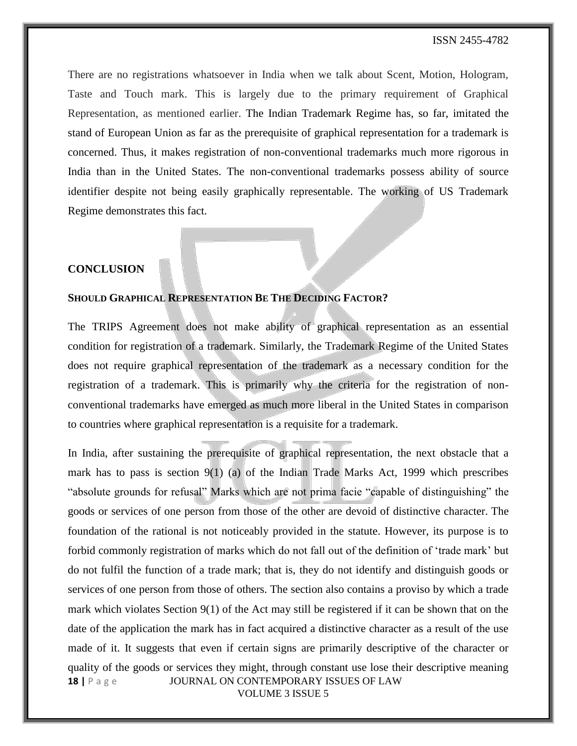There are no registrations whatsoever in India when we talk about Scent, Motion, Hologram, Taste and Touch mark. This is largely due to the primary requirement of Graphical Representation, as mentioned earlier. The Indian Trademark Regime has, so far, imitated the stand of European Union as far as the prerequisite of graphical representation for a trademark is concerned. Thus, it makes registration of non-conventional trademarks much more rigorous in India than in the United States. The non-conventional trademarks possess ability of source identifier despite not being easily graphically representable. The working of US Trademark Regime demonstrates this fact.

### **CONCLUSION**

### **SHOULD GRAPHICAL REPRESENTATION BE THE DECIDING FACTOR?**

The TRIPS Agreement does not make ability of graphical representation as an essential condition for registration of a trademark. Similarly, the Trademark Regime of the United States does not require graphical representation of the trademark as a necessary condition for the registration of a trademark. This is primarily why the criteria for the registration of nonconventional trademarks have emerged as much more liberal in the United States in comparison to countries where graphical representation is a requisite for a trademark.

**18** | P a g e **JOURNAL ON CONTEMPORARY ISSUES OF LAW** VOLUME 3 ISSUE 5 In India, after sustaining the prerequisite of graphical representation, the next obstacle that a mark has to pass is section  $9(1)$  (a) of the Indian Trade Marks Act, 1999 which prescribes "absolute grounds for refusal" Marks which are not prima facie "capable of distinguishing" the goods or services of one person from those of the other are devoid of distinctive character. The foundation of the rational is not noticeably provided in the statute. However, its purpose is to forbid commonly registration of marks which do not fall out of the definition of 'trade mark' but do not fulfil the function of a trade mark; that is, they do not identify and distinguish goods or services of one person from those of others. The section also contains a proviso by which a trade mark which violates Section 9(1) of the Act may still be registered if it can be shown that on the date of the application the mark has in fact acquired a distinctive character as a result of the use made of it. It suggests that even if certain signs are primarily descriptive of the character or quality of the goods or services they might, through constant use lose their descriptive meaning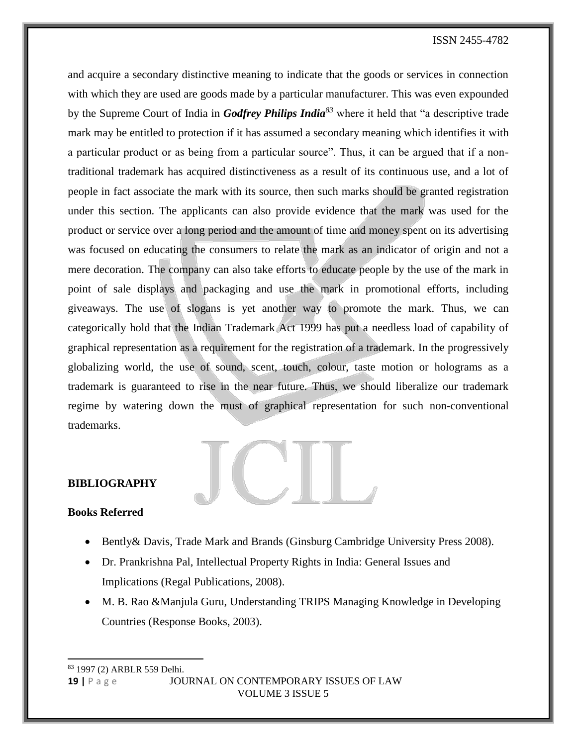and acquire a secondary distinctive meaning to indicate that the goods or services in connection with which they are used are goods made by a particular manufacturer. This was even expounded by the Supreme Court of India in *Godfrey Philips India<sup>83</sup>* where it held that "a descriptive trade mark may be entitled to protection if it has assumed a secondary meaning which identifies it with a particular product or as being from a particular source". Thus, it can be argued that if a nontraditional trademark has acquired distinctiveness as a result of its continuous use, and a lot of people in fact associate the mark with its source, then such marks should be granted registration under this section. The applicants can also provide evidence that the mark was used for the product or service over a long period and the amount of time and money spent on its advertising was focused on educating the consumers to relate the mark as an indicator of origin and not a mere decoration. The company can also take efforts to educate people by the use of the mark in point of sale displays and packaging and use the mark in promotional efforts, including giveaways. The use of slogans is yet another way to promote the mark. Thus, we can categorically hold that the Indian Trademark Act 1999 has put a needless load of capability of graphical representation as a requirement for the registration of a trademark. In the progressively globalizing world, the use of sound, scent, touch, colour, taste motion or holograms as a trademark is guaranteed to rise in the near future. Thus, we should liberalize our trademark regime by watering down the must of graphical representation for such non-conventional trademarks.



# **BIBLIOGRAPHY**

#### **Books Referred**

l

- Bently & Davis, Trade Mark and Brands (Ginsburg Cambridge University Press 2008).
- Dr. Prankrishna Pal, Intellectual Property Rights in India: General Issues and Implications (Regal Publications, 2008).
- M. B. Rao &Manjula Guru, Understanding TRIPS Managing Knowledge in Developing Countries (Response Books, 2003).

**19 |** P a g e JOURNAL ON CONTEMPORARY ISSUES OF LAW VOLUME 3 ISSUE 5 <sup>83</sup> 1997 (2) ARBLR 559 Delhi.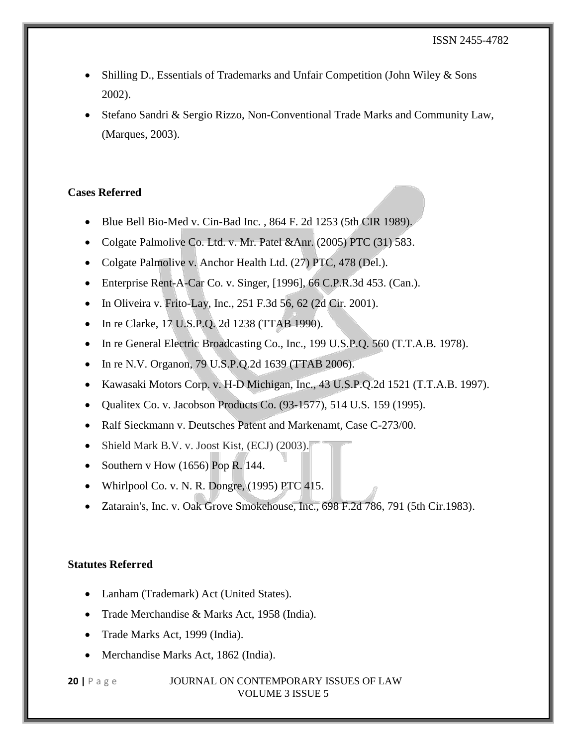- Shilling D., Essentials of Trademarks and Unfair Competition (John Wiley & Sons 2002).
- Stefano Sandri & Sergio Rizzo, Non-Conventional Trade Marks and Community Law, (Marques, 2003).

# **Cases Referred**

- Blue Bell Bio-Med v. Cin-Bad Inc. , 864 F. 2d 1253 (5th CIR 1989).
- Colgate Palmolive Co. Ltd. v. Mr. Patel &Anr. (2005) PTC (31) 583.
- Colgate Palmolive v. Anchor Health Ltd. (27) PTC, 478 (Del.).
- Enterprise Rent-A-Car Co. v. Singer, [1996], 66 C.P.R.3d 453. (Can.).
- In Oliveira v. Frito-Lay, Inc., 251 F.3d 56, 62 (2d Cir. 2001).
- In re Clarke, 17 U.S.P.Q. 2d 1238 (TTAB 1990).
- In re General Electric Broadcasting Co., Inc., 199 U.S.P.Q. 560 (T.T.A.B. 1978).
- In re N.V. Organon, 79 U.S.P.Q.2d 1639 (TTAB 2006).
- Kawasaki Motors Corp. v. H-D Michigan, Inc., 43 U.S.P.Q.2d 1521 (T.T.A.B. 1997).
- Oualitex Co. v. Jacobson Products Co.  $(93-1577)$ , 514 U.S. 159 (1995).
- Ralf Sieckmann v. Deutsches Patent and Markenamt, Case C-273/00.
- Shield Mark B.V. v. Joost Kist, (ECJ) (2003).
- Southern v How  $(1656)$  Pop R. 144.
- Whirlpool Co. v. N. R. Dongre,  $(1995)$  PTC 415.
- Zatarain's, Inc. v. Oak Grove Smokehouse, Inc., 698 F.2d 786, 791 (5th Cir.1983).

### **Statutes Referred**

- Lanham (Trademark) Act (United States).
- Trade Merchandise & Marks Act, 1958 (India).
- Trade Marks Act, 1999 (India).
- Merchandise Marks Act, 1862 (India).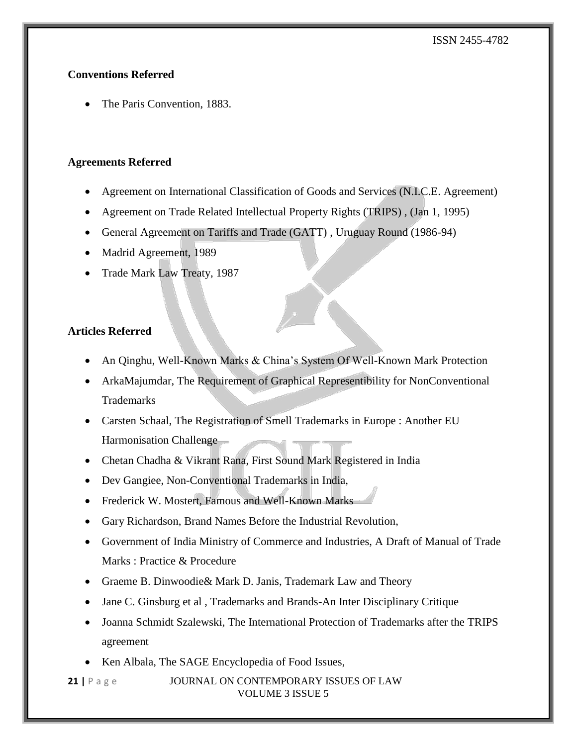# **Conventions Referred**

• The Paris Convention, 1883.

# **Agreements Referred**

- Agreement on International Classification of Goods and Services (N.I.C.E. Agreement)
- Agreement on Trade Related Intellectual Property Rights (TRIPS) , (Jan 1, 1995)
- General Agreement on Tariffs and Trade (GATT) , Uruguay Round (1986-94)
- Madrid Agreement, 1989
- Trade Mark Law Treaty, 1987

# **Articles Referred**

- An Qinghu, Well-Known Marks & China's System Of Well-Known Mark Protection
- ArkaMajumdar, The Requirement of Graphical Representibility for NonConventional Trademarks
- Carsten Schaal, The Registration of Smell Trademarks in Europe : Another EU Harmonisation Challenge
- Chetan Chadha & Vikrant Rana, First Sound Mark Registered in India
- Dev Gangiee, Non-Conventional Trademarks in India,
- Frederick W. Mostert, Famous and Well-Known Marks
- Gary Richardson, Brand Names Before the Industrial Revolution,
- Government of India Ministry of Commerce and Industries, A Draft of Manual of Trade Marks : Practice & Procedure
- [Graeme](https://books.google.co.in/books?id=-YTMt0PO-nIC&pg=PA7&lpg=PA7&dq=jg+v+samford&source=bl&ots=TH3I61XguX&sig=5HS_MIprhY1zk49v0iStmJynK5o&hl=en&sa=X&ved=0ahUKEwiWnNvt8NrKAhVGWRQKHQxoDNoQ6AEIIjAB#v=onepage&q=jg%20v%20samford&f=false) B. Dinwoodie& Mark D. Janis, Trademark Law and Theory
- Jane C. Ginsburg et al , Trademarks and Brands-An Inter Disciplinary Critique
- Joanna Schmidt Szalewski, The International Protection of Trademarks after the TRIPS agreement
- Ken Albala, The SAGE Encyclopedia of Food Issues,